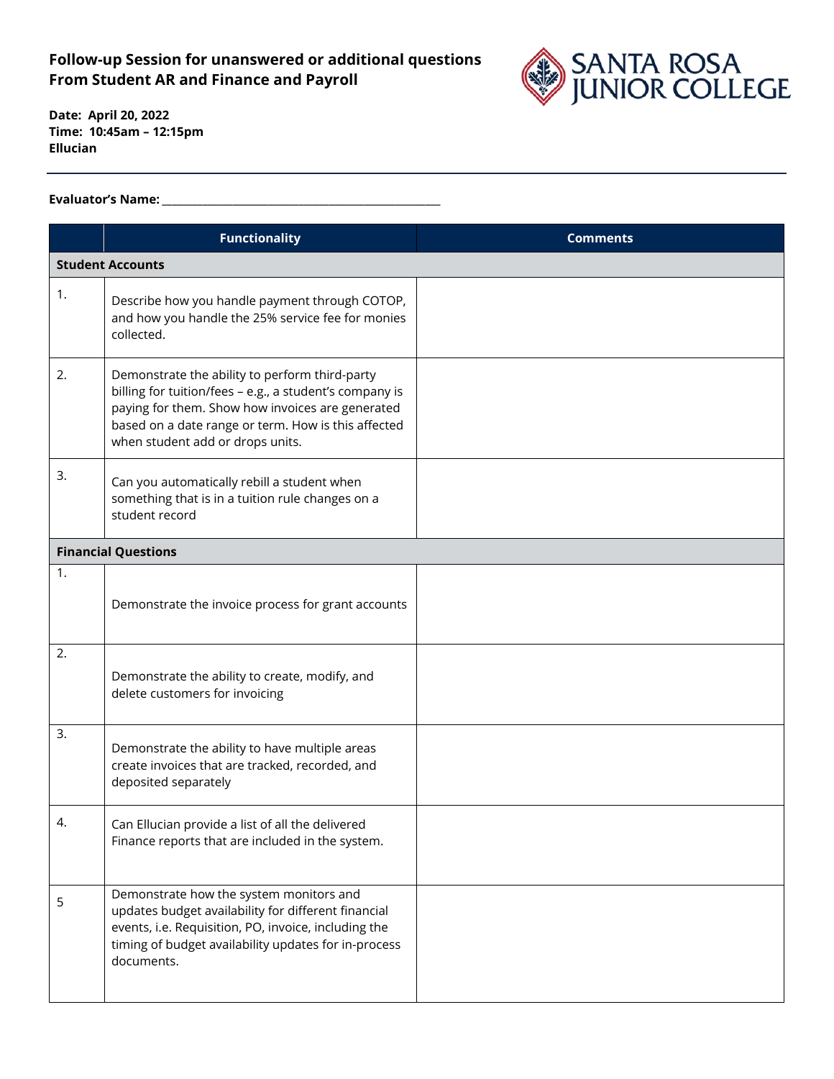## **Follow-up Session for unanswered or additional questions From Student AR and Finance and Payroll**



**Date: April 20, 2022 Time: 10:45am – 12:15pm Ellucian**

## **Evaluator's Name: \_\_\_\_\_\_\_\_\_\_\_\_\_\_\_\_\_\_\_\_\_\_\_\_\_\_\_\_\_\_\_\_\_\_\_\_\_\_\_\_\_\_\_\_\_\_\_\_\_\_\_\_\_\_\_**

|                            | <b>Functionality</b>                                                                                                                                                                                                                                     | <b>Comments</b> |  |  |
|----------------------------|----------------------------------------------------------------------------------------------------------------------------------------------------------------------------------------------------------------------------------------------------------|-----------------|--|--|
| <b>Student Accounts</b>    |                                                                                                                                                                                                                                                          |                 |  |  |
| 1.                         | Describe how you handle payment through COTOP,<br>and how you handle the 25% service fee for monies<br>collected.                                                                                                                                        |                 |  |  |
| 2.                         | Demonstrate the ability to perform third-party<br>billing for tuition/fees - e.g., a student's company is<br>paying for them. Show how invoices are generated<br>based on a date range or term. How is this affected<br>when student add or drops units. |                 |  |  |
| 3.                         | Can you automatically rebill a student when<br>something that is in a tuition rule changes on a<br>student record                                                                                                                                        |                 |  |  |
| <b>Financial Questions</b> |                                                                                                                                                                                                                                                          |                 |  |  |
| 1.                         | Demonstrate the invoice process for grant accounts                                                                                                                                                                                                       |                 |  |  |
| 2.                         | Demonstrate the ability to create, modify, and<br>delete customers for invoicing                                                                                                                                                                         |                 |  |  |
| 3.                         | Demonstrate the ability to have multiple areas<br>create invoices that are tracked, recorded, and<br>deposited separately                                                                                                                                |                 |  |  |
| 4.                         | Can Ellucian provide a list of all the delivered<br>Finance reports that are included in the system.                                                                                                                                                     |                 |  |  |
| 5                          | Demonstrate how the system monitors and<br>updates budget availability for different financial<br>events, i.e. Requisition, PO, invoice, including the<br>timing of budget availability updates for in-process<br>documents.                             |                 |  |  |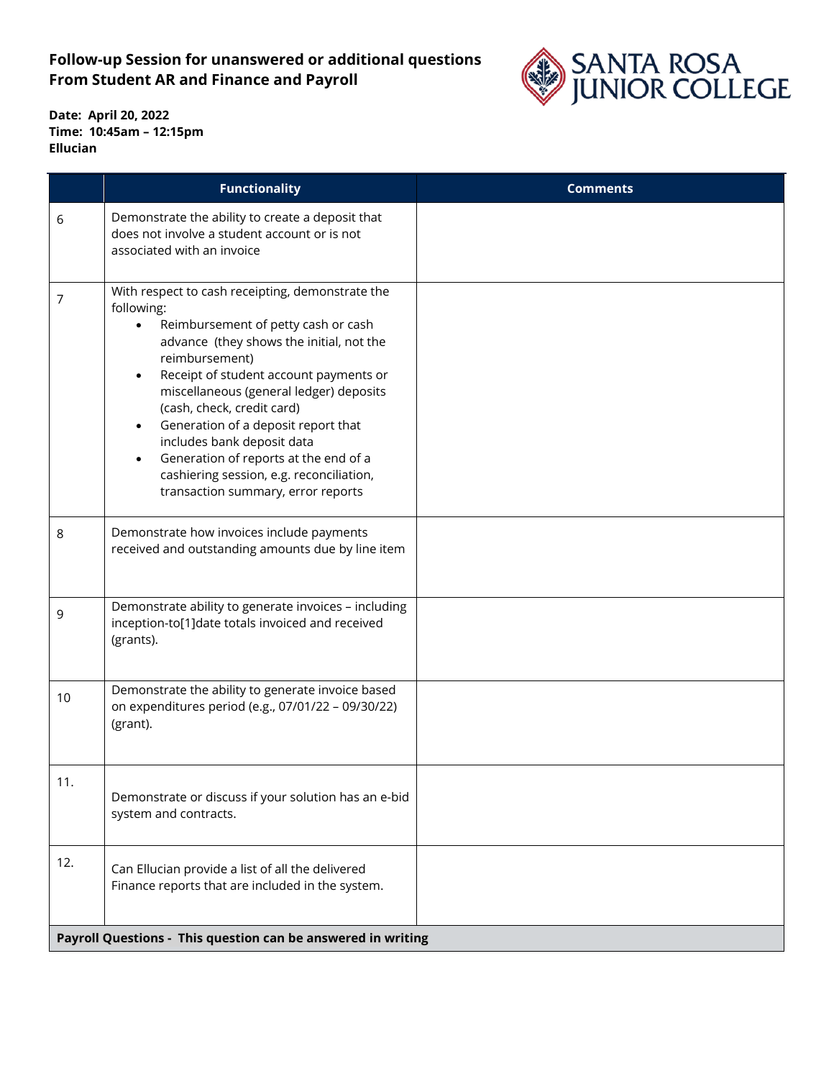## **Follow-up Session for unanswered or additional questions From Student AR and Finance and Payroll**



**Date: April 20, 2022 Time: 10:45am – 12:15pm Ellucian**

|                                                              | <b>Functionality</b>                                                                                                                                                                                                                                                                                                                                                                                                                                                                                                          | <b>Comments</b> |  |
|--------------------------------------------------------------|-------------------------------------------------------------------------------------------------------------------------------------------------------------------------------------------------------------------------------------------------------------------------------------------------------------------------------------------------------------------------------------------------------------------------------------------------------------------------------------------------------------------------------|-----------------|--|
| 6                                                            | Demonstrate the ability to create a deposit that<br>does not involve a student account or is not<br>associated with an invoice                                                                                                                                                                                                                                                                                                                                                                                                |                 |  |
| 7                                                            | With respect to cash receipting, demonstrate the<br>following:<br>Reimbursement of petty cash or cash<br>$\bullet$<br>advance (they shows the initial, not the<br>reimbursement)<br>Receipt of student account payments or<br>$\bullet$<br>miscellaneous (general ledger) deposits<br>(cash, check, credit card)<br>Generation of a deposit report that<br>includes bank deposit data<br>Generation of reports at the end of a<br>$\bullet$<br>cashiering session, e.g. reconciliation,<br>transaction summary, error reports |                 |  |
| 8                                                            | Demonstrate how invoices include payments<br>received and outstanding amounts due by line item                                                                                                                                                                                                                                                                                                                                                                                                                                |                 |  |
| 9                                                            | Demonstrate ability to generate invoices - including<br>inception-to[1]date totals invoiced and received<br>(grants).                                                                                                                                                                                                                                                                                                                                                                                                         |                 |  |
| 10                                                           | Demonstrate the ability to generate invoice based<br>on expenditures period (e.g., 07/01/22 - 09/30/22)<br>(grant).                                                                                                                                                                                                                                                                                                                                                                                                           |                 |  |
| 11.                                                          | Demonstrate or discuss if your solution has an e-bid<br>system and contracts.                                                                                                                                                                                                                                                                                                                                                                                                                                                 |                 |  |
| 12.                                                          | Can Ellucian provide a list of all the delivered<br>Finance reports that are included in the system.                                                                                                                                                                                                                                                                                                                                                                                                                          |                 |  |
| Payroll Questions - This question can be answered in writing |                                                                                                                                                                                                                                                                                                                                                                                                                                                                                                                               |                 |  |